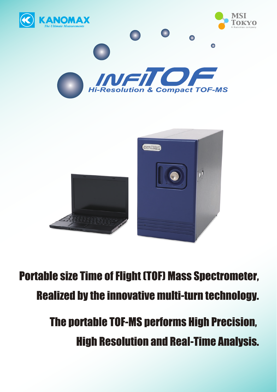

**Portable size Time of Flight (TOF) Mass Spectrometer, Realized by the innovative multi-turn technology.** 

> **The portable TOF-MS performs High Precision, High Resolution and Real-Time Analysis.**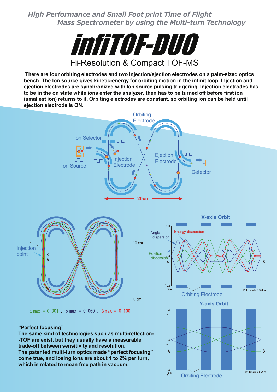*High Performance and Small Foot print Time of Flight Mass Spectrometer by using the Multi-turn Technology*



**There are four orbiting electrodes and two injection/ejection electrodes on a palm-sized optics bench. The Ion source gives kinetic-energy for orbiting motion in the infinit loop. Injection and ejection electrodes are synchronized with Ion source pulsing triggering. Injection electrodes has** to be in the on state while ions enter the analyzer, then has to be turned off before first ion **(smallest ion) returns to it. Orbiting electrodes are constant, so orbiting ion can be held until ejection electrode is ON.**

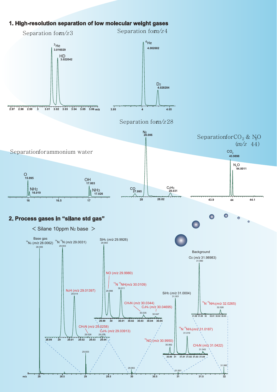## **1. High-resolution separation of low molecular weight gases**